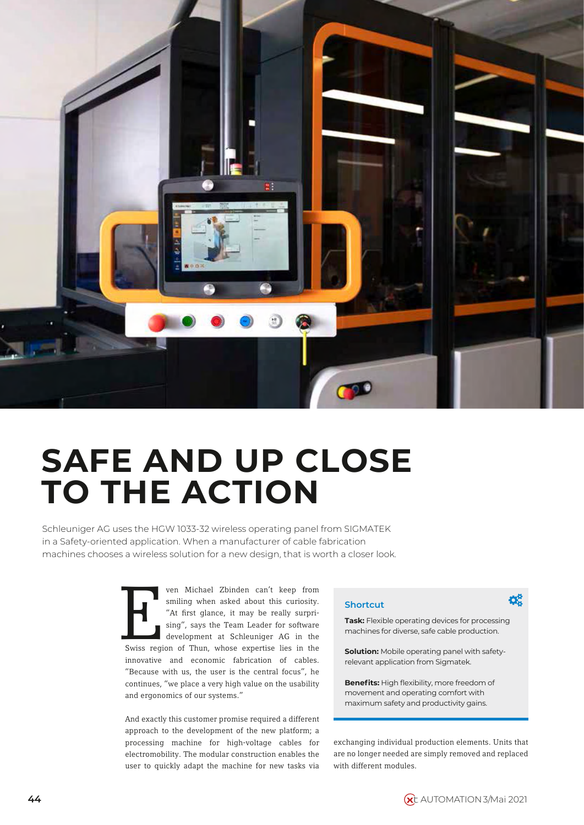

# **SAFE AND UP CLOSE TO THE ACTION**

Schleuniger AG uses the HGW 1033-32 wireless operating panel from SIGMATEK in a Safety-oriented application. When a manufacturer of cable fabrication machines chooses a wireless solution for a new design, that is worth a closer look.

> Four of Michael Zbinden can't keep from<br>
> smiling when asked about this curiosity.<br>
> "At first glance, it may be really surpri-<br>
> sing", says the Team Leader for software<br>
> development at Schleuniger AG in the<br>
> Swiss region of ven Michael Zbinden can't keep from smiling when asked about this curiosity. "At first glance, it may be really surprising", says the Team Leader for software development at Schleuniger AG in the innovative and economic fabrication of cables. "Because with us, the user is the central focus", he continues, "we place a very high value on the usability and ergonomics of our systems."

And exactly this customer promise required a different approach to the development of the new platform; a processing machine for high-voltage cables for electromobility. The modular construction enables the user to quickly adapt the machine for new tasks via

**Task:** Flexible operating devices for processing machines for diverse, safe cable production.

Ö.

**Solution:** Mobile operating panel with safetyrelevant application from Sigmatek.

**Benefits:** High flexibility, more freedom of movement and operating comfort with maximum safety and productivity gains.

exchanging individual production elements. Units that are no longer needed are simply removed and replaced with different modules.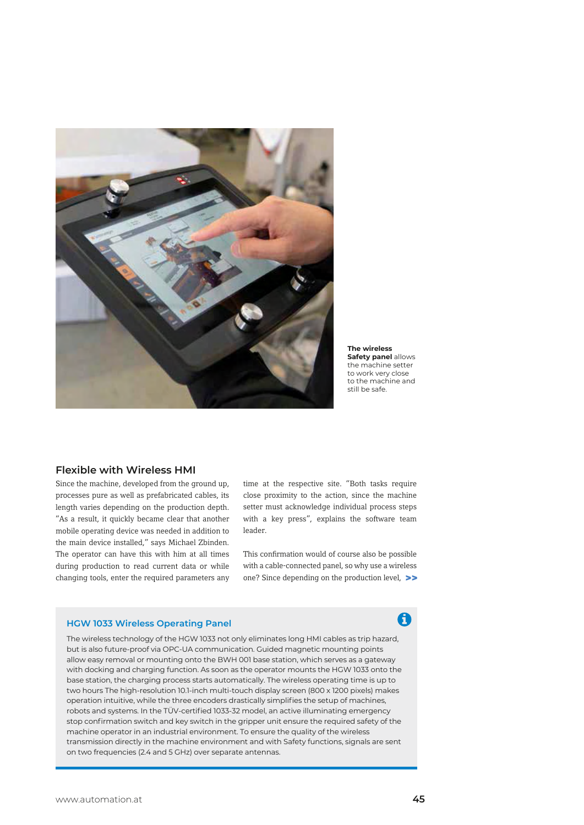

**The wireless Safety panel** allows the machine setter to work very close to the machine and still be safe.

### **Flexible with Wireless HMI**

Since the machine, developed from the ground up, processes pure as well as prefabricated cables, its length varies depending on the production depth. "As a result, it quickly became clear that another mobile operating device was needed in addition to the main device installed," says Michael Zbinden. The operator can have this with him at all times during production to read current data or while changing tools, enter the required parameters any time at the respective site. "Both tasks require close proximity to the action, since the machine setter must acknowledge individual process steps with a key press", explains the software team leader.

This confirmation would of course also be possible with a cable-connected panel, so why use a wireless one? Since depending on the production level, >>

### **HGW 1033 Wireless Operating Panel**

The wireless technology of the HGW 1033 not only eliminates long HMI cables as trip hazard, but is also future-proof via OPC-UA communication. Guided magnetic mounting points allow easy removal or mounting onto the BWH 001 base station, which serves as a gateway with docking and charging function. As soon as the operator mounts the HGW 1033 onto the base station, the charging process starts automatically. The wireless operating time is up to two hours The high-resolution 10.1-inch multi-touch display screen (800 x 1200 pixels) makes operation intuitive, while the three encoders drastically simplifies the setup of machines, robots and systems. In the TÜV-certified 1033-32 model, an active illuminating emergency stop confirmation switch and key switch in the gripper unit ensure the required safety of the machine operator in an industrial environment. To ensure the quality of the wireless transmission directly in the machine environment and with Safety functions, signals are sent on two frequencies (2.4 and 5 GHz) over separate antennas.

## A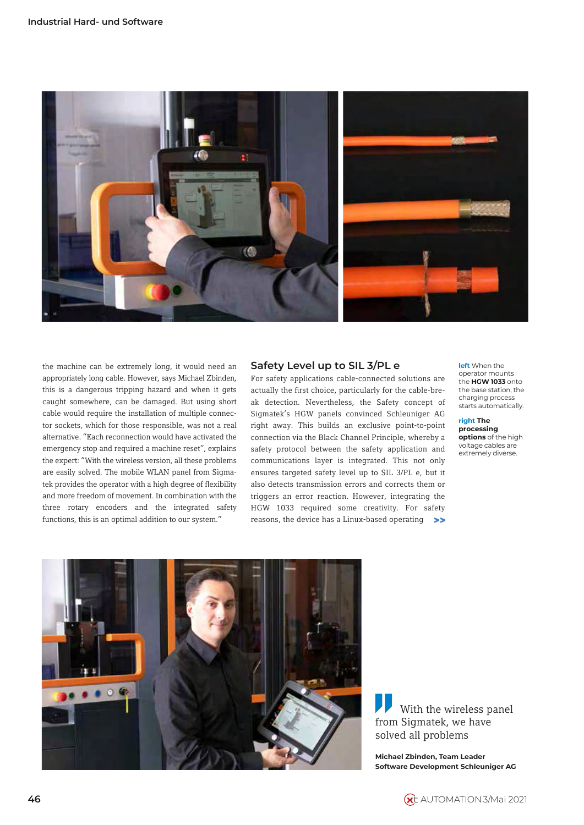

the machine can be extremely long, it would need an appropriately long cable. However, says Michael Zbinden, this is a dangerous tripping hazard and when it gets caught somewhere, can be damaged. But using short cable would require the installation of multiple connector sockets, which for those responsible, was not a real alternative. "Each reconnection would have activated the emergency stop and required a machine reset", explains the expert: "With the wireless version, all these problems are easily solved. The mobile WLAN panel from Sigmatek provides the operator with a high degree of flexibility and more freedom of movement. In combination with the three rotary encoders and the integrated safety functions, this is an optimal addition to our system."

### **Safety Level up to SIL 3/PL e**

For safety applications cable-connected solutions are actually the first choice, particularly for the cable-break detection. Nevertheless, the Safety concept of Sigmatek's HGW panels convinced Schleuniger AG right away. This builds an exclusive point-to-point connection via the Black Channel Principle, whereby a safety protocol between the safety application and communications layer is integrated. This not only ensures targeted safety level up to SIL 3/PL e, but it also detects transmission errors and corrects them or triggers an error reaction. However, integrating the HGW 1033 required some creativity. For safety reasons, the device has a Linux-based operating >>

**left** When the operator mounts the **HGW 1033** onto the base station, the charging process starts automatically.

**right The processing options** of the high voltage cables are extremely diverse.



With the wireless panel from Sigmatek, we have solved all problems

**Michael Zbinden, Team Leader Software Development Schleuniger AG**